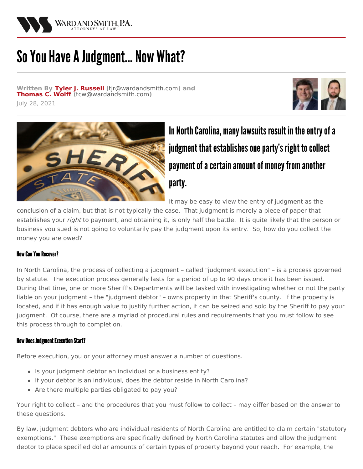

# So You Have A Judgment... Now What?

**Written By Tyler J. [Russell](/attorneys/tyler-russell) (**[tjr@wardandsmith.com](mailto:tjr@wardandsmith.com)**) and [Thomas](/attorneys/thomas-wolff) C. Wolff (**[tcw@wardandsmith.com](mailto:tcw@wardandsmith.com)**)** July 28, 2021





In North Carolina, many lawsuits result in the entry of a judgment that establishes one party's right to collect payment of a certain amount of money from another party.

It may be easy to view the entry of judgment as the

conclusion of a claim, but that is not typically the case. That judgment is merely a piece of paper that establishes your *right* to payment, and obtaining it, is only half the battle. It is quite likely that the person or business you sued is not going to voluntarily pay the judgment upon its entry. So, how do you collect the money you are owed?

## How Can You Recover?

In North Carolina, the process of collecting a judgment – called "judgment execution" – is a process governed by statute. The execution process generally lasts for a period of up to 90 days once it has been issued. During that time, one or more Sheriff's Departments will be tasked with investigating whether or not the party liable on your judgment – the "judgment debtor" – owns property in that Sheriff's county. If the property is located, and if it has enough value to justify further action, it can be seized and sold by the Sheriff to pay your judgment. Of course, there are a myriad of procedural rules and requirements that you must follow to see this process through to completion.

## **How Does Judgment Execution Start?**

Before execution, you or your attorney must answer a number of questions.

- Is your judgment debtor an individual or a business entity?
- If your debtor is an individual, does the debtor reside in North Carolina?
- Are there multiple parties obligated to pay you?

Your right to collect – and the procedures that you must follow to collect – may differ based on the answer to these questions.

By law, judgment debtors who are individual residents of North Carolina are entitled to claim certain "statutory exemptions." These exemptions are specifically defined by North Carolina statutes and allow the judgment debtor to place specified dollar amounts of certain types of property beyond your reach. For example, the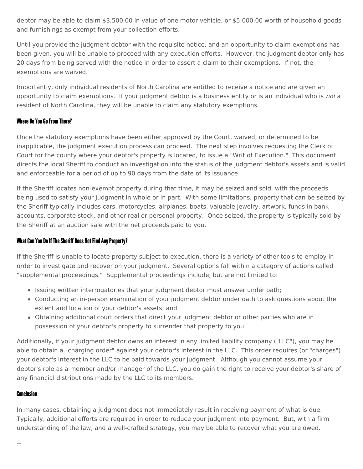debtor may be able to claim \$3,500.00 in value of one motor vehicle, or \$5,000.00 worth of household goods and furnishings as exempt from your collection efforts.

Until you provide the judgment debtor with the requisite notice, and an opportunity to claim exemptions has been given, you will be unable to proceed with any execution efforts. However, the judgment debtor only has 20 days from being served with the notice in order to assert a claim to their exemptions. If not, the exemptions are waived.

Importantly, only individual residents of North Carolina are entitled to receive a notice and are given an opportunity to claim exemptions. If your judgment debtor is a business entity or is an individual who is *not* a resident of North Carolina, they will be unable to claim any statutory exemptions.

## Where Do You Go From There?

Once the statutory exemptions have been either approved by the Court, waived, or determined to be inapplicable, the judgment execution process can proceed. The next step involves requesting the Clerk of Court for the county where your debtor's property is located, to issue a "Writ of Execution." This document directs the local Sheriff to conduct an investigation into the status of the judgment debtor's assets and is valid and enforceable for a period of up to 90 days from the date of its issuance.

If the Sheriff locates non-exempt property during that time, it may be seized and sold, with the proceeds being used to satisfy your judgment in whole or in part. With some limitations, property that can be seized by the Sheriff typically includes cars, motorcycles, airplanes, boats, valuable jewelry, artwork, funds in bank accounts, corporate stock, and other real or personal property. Once seized, the property is typically sold by the Sheriff at an auction sale with the net proceeds paid to you.

## What Can You Do If The Sheriff Does Not Find Any Property?

If the Sheriff is unable to locate property subject to execution, there is a variety of other tools to employ in order to investigate and recover on your judgment. Several options fall within a category of actions called "supplemental proceedings." Supplemental proceedings include, but are not limited to:

- Issuing written interrogatories that your judgment debtor must answer under oath;
- Conducting an in-person examination of your judgment debtor under oath to ask questions about the extent and location of your debtor's assets; and
- Obtaining additional court orders that direct your judgment debtor or other parties who are in possession of your debtor's property to surrender that property to you.

Additionally, if your judgment debtor owns an interest in any limited liability company ("LLC"), you may be able to obtain a "charging order" against your debtor's interest in the LLC. This order requires (or "charges") your debtor's interest in the LLC to be paid towards your judgment. Although you cannot assume your debtor's role as a member and/or manager of the LLC, you do gain the right to receive your debtor's share of any financial distributions made by the LLC to its members.

## Conclusion

In many cases, obtaining a judgment does not immediately result in receiving payment of what is due. Typically, additional efforts are required in order to reduce your judgment into payment. But, with a firm understanding of the law, and a well-crafted strategy, you may be able to recover what you are owed.